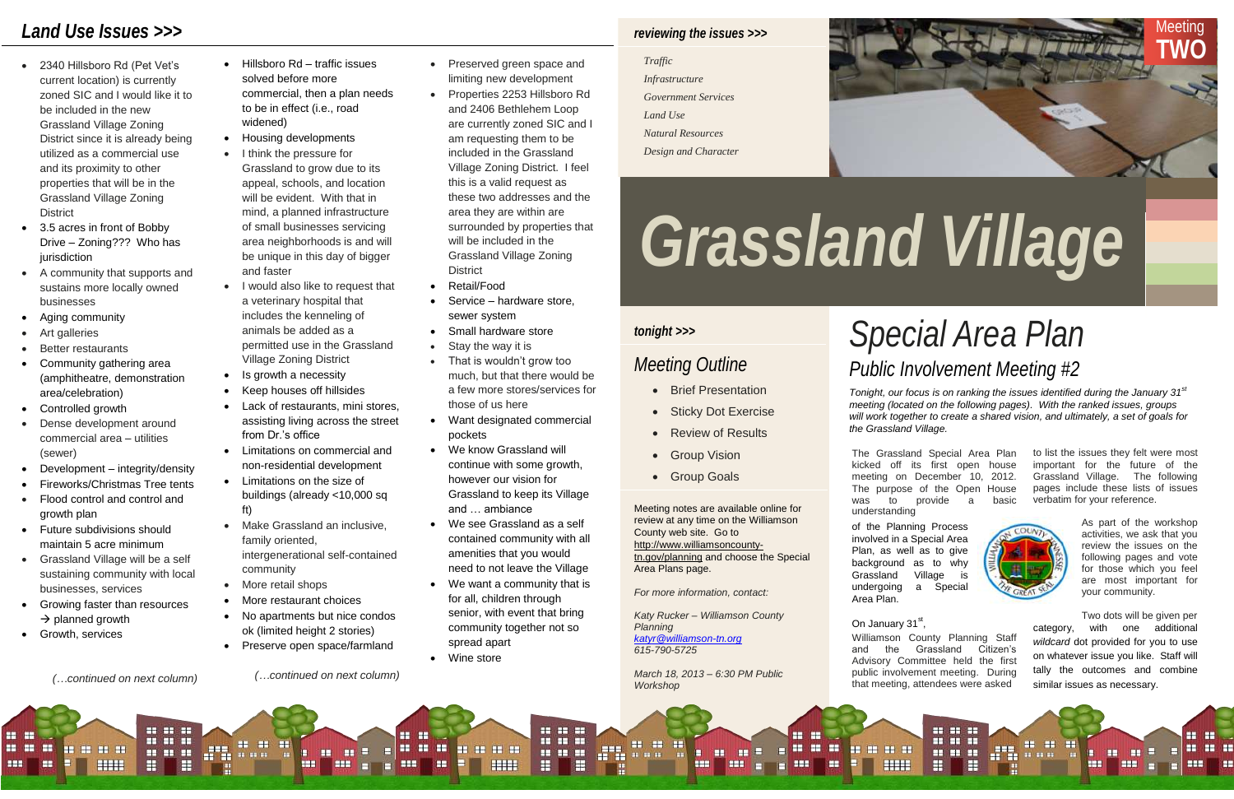# *Special Area Plan*

## *tonight >>>*

- Brief Presentation
- Sticky Dot Exercise
- Review of Results
- Group Vision
- **Group Goals**

# *Meeting Outline Public Involvement Meeting #2*



### *Traffic*

- 
- 
- 
- 

*Tonight, our focus is on ranking the issues identified during the January 31 st meeting (located on the following pages). With the ranked issues, groups will work together to create a shared vision, and ultimately, a set of goals for* 

*the Grassland Village.*

The Grassland Special Area Plan kicked off its first open house meeting on December 10, 2012. The purpose of the Open House was to provide a basic understanding

- 2340 Hillsboro Rd (Pet Vet's current location) is currently zoned SIC and I would like it to be included in the new Grassland Village Zoning District since it is already being utilized as a commercial use and its proximity to other properties that will be in the Grassland Village Zoning **District**
- 3.5 acres in front of Bobby Drive – Zoning??? Who has jurisdiction
- A community that supports and sustains more locally owned businesses
- Aging community
- Art galleries
- Better restaurants
- Community gathering area (amphitheatre, demonstration area/celebration)
- Controlled growth
- Dense development around commercial area – utilities (sewer)
- Development integrity/density
- Fireworks/Christmas Tree tents
- Flood control and control and growth plan
- Future subdivisions should maintain 5 acre minimum
- Grassland Village will be a self sustaining community with local businesses, services
- Growing faster than resources  $\rightarrow$  planned growth

----

HH

to list the issues they felt were most important for the future of the Grassland Village. The following pages include these lists of issues verbatim for your reference.

Williamson County Planning Staff and the Grassland Citizen's Advisory Committee held the first public involvement meeting. During that meeting, attendees were asked

of the Planning Process involved in a Special Area Plan, as well as to give background as to why Grassland Village is undergoing a Special Area Plan.

On January 31st,

**FEI SHEET** 

■■■■■

category, with one additional *wildcard* dot provided for you to use on whatever issue you like. Staff will tally the outcomes and combine similar issues as necessary. Two dots will be given per



COUNT

- Hillsboro Rd traffic issues solved before more commercial, then a plan needs to be in effect (i.e., road widened)
- Housing developments
- I think the pressure for Grassland to grow due to its appeal, schools, and location will be evident. With that in mind, a planned infrastructure of small businesses servicing area neighborhoods is and will be unique in this day of bigger and faster
- I would also like to request that a veterinary hospital that includes the kenneling of animals be added as a permitted use in the Grassland Village Zoning District
- Is growth a necessity
- Keep houses off hillsides
- Lack of restaurants, mini stores, assisting living across the street from Dr.'s office
- Limitations on commercial and non-residential development
- Limitations on the size of buildings (already <10,000 sq ft)
- Make Grassland an inclusive, family oriented, intergenerational self-contained community
- More retail shops
- More restaurant choices
- No apartments but nice condos ok (limited height 2 stories)
- Preserve open space/farmland

As part of the workshop activities, we ask that you review the issues on the following pages and vote for those which you feel are most important for your community.

- Preserved green space and limiting new development
- Properties 2253 Hillsboro Rd and 2406 Bethlehem Loop are currently zoned SIC and I am requesting them to be included in the Grassland Village Zoning District. I feel this is a valid request as these two addresses and the area they are within are surrounded by properties that will be included in the Grassland Village Zoning **District**
- Retail/Food
- Service hardware store, sewer system
- Small hardware store
- Stay the way it is
- That is wouldn't grow too much, but that there would be a few more stores/services for those of us here
- Want designated commercial pockets
- We know Grassland will continue with some growth, however our vision for Grassland to keep its Village and … ambiance
- We see Grassland as a self contained community with all amenities that you would need to not leave the Village
- We want a community that is for all, children through senior, with event that bring community together not so spread apart

**H** H

Ħ

**BB BB BB** 

. . .

• Wine store

----

**HHE** 

m

. . .

æ

---

FI

Growth, services

*(…continued on next column)*

Ħ

**THE H** H H . . . an. . . .

.....

 $H$   $H$   $H$ 

H

ŦŦ



# *Land Use Issues >>>*

Meeting notes are available online for review at any time on the Williamson County web site. Go to [http://www.williamsoncounty](http://www.williamsoncounty-tn.gov/planning)[tn.gov/planning](http://www.williamsoncounty-tn.gov/planning) and choose the Special Area Plans page.

*For more information, contact:*

*Katy Rucker – Williamson County Planning [katyr@williamson-tn.org](mailto:katyr@williamson-tn.org) 615-790-5725*

*March 18, 2013 – 6:30 PM Public Workshop*

æ

**22 22** 

. . .

 $\mathbf{m}$  as  $\mathbf{m}$ 

57.

*(…continued on next column)*